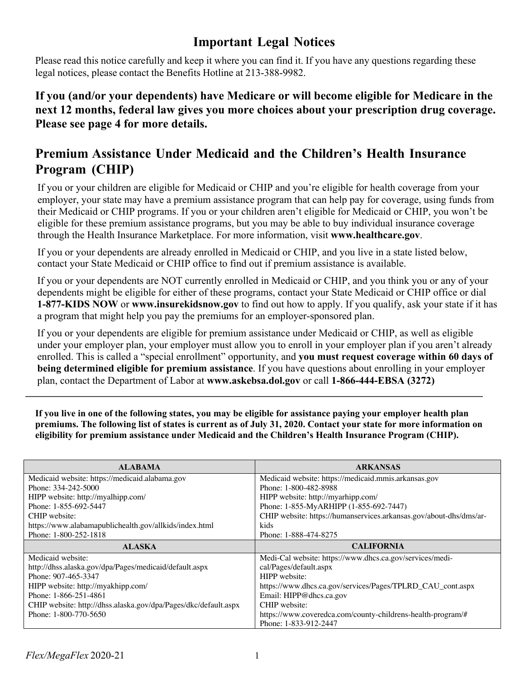## **Important Legal Notices**

Please read this notice carefully and keep it where you can find it. If you have any questions regarding these legal notices, please contact the Benefits Hotline at 213-388-9982.

**If you (and/or your dependents) have Medicare or will become eligible for Medicare in the next 12 months, federal law gives you more choices about your prescription drug coverage. Please see page 4 for more details.**

## **Premium Assistance Under Medicaid and the Children's Health Insurance Program (CHIP)**

If you or your children are eligible for Medicaid or CHIP and you're eligible for health coverage from your employer, your state may have a premium assistance program that can help pay for coverage, using funds from their Medicaid or CHIP programs. If you or your children aren't eligible for Medicaid or CHIP, you won't be eligible for these premium assistance programs, but you may be able to buy individual insurance coverage through the Health Insurance Marketplace. For more information, visit **www.healthcare.gov**.

If you or your dependents are already enrolled in Medicaid or CHIP, and you live in a state listed below, contact your State Medicaid or CHIP office to find out if premium assistance is available.

If you or your dependents are NOT currently enrolled in Medicaid or CHIP, and you think you or any of your dependents might be eligible for either of these programs, contact your State Medicaid or CHIP office or dial **1-877-KIDS NOW** or **www.insurekidsnow.gov** to find out how to apply. If you qualify, ask your state if it has a program that might help you pay the premiums for an employer-sponsored plan.

If you or your dependents are eligible for premium assistance under Medicaid or CHIP, as well as eligible under your employer plan, your employer must allow you to enroll in your employer plan if you aren't already enrolled. This is called a "special enrollment" opportunity, and **you must request coverage within 60 days of being determined eligible for premium assistance**. If you have questions about enrolling in your employer plan, contact the Department of Labor at **www.askebsa.dol.gov** or call **1-866-444-EBSA (3272)**

**If you live in one of the following states, you may be eligible for assistance paying your employer health plan premiums. The following list of states is current as of July 31, 2020. Contact your state for more information on eligibility for premium assistance under Medicaid and the Children's Health Insurance Program (CHIP).**

| <b>ALABAMA</b>                                                  | <b>ARKANSAS</b>                                                    |
|-----------------------------------------------------------------|--------------------------------------------------------------------|
| Medicaid website: https://medicaid.alabama.gov                  | Medicaid website: https://medicaid.mmis.arkansas.gov               |
| Phone: 334-242-5000                                             | Phone: 1-800-482-8988                                              |
| HIPP website: http://myalhipp.com/                              | HIPP website: http://myarhipp.com/                                 |
| Phone: 1-855-692-5447                                           | Phone: 1-855-MyARHIPP (1-855-692-7447)                             |
| CHIP website:                                                   | CHIP website: https://humanservices.arkansas.gov/about-dhs/dms/ar- |
| https://www.alabamapublichealth.gov/allkids/index.html          | kids                                                               |
| Phone: 1-800-252-1818                                           | Phone: 1-888-474-8275                                              |
|                                                                 |                                                                    |
| <b>ALASKA</b>                                                   | <b>CALIFORNIA</b>                                                  |
| Medicaid website:                                               | Medi-Cal website: https://www.dhcs.ca.gov/services/medi-           |
| http://dhss.alaska.gov/dpa/Pages/medicaid/default.aspx          | cal/Pages/default.aspx                                             |
| Phone: 907-465-3347                                             | HIPP website:                                                      |
| HIPP website: http://myakhipp.com/                              | https://www.dhcs.ca.gov/services/Pages/TPLRD_CAU_cont.aspx         |
| Phone: 1-866-251-4861                                           | Email: HIPP@dhcs.ca.gov                                            |
| CHIP website: http://dhss.alaska.gov/dpa/Pages/dkc/default.aspx | CHIP website:                                                      |
| Phone: 1-800-770-5650                                           | https://www.coveredca.com/county-childrens-health-program/#        |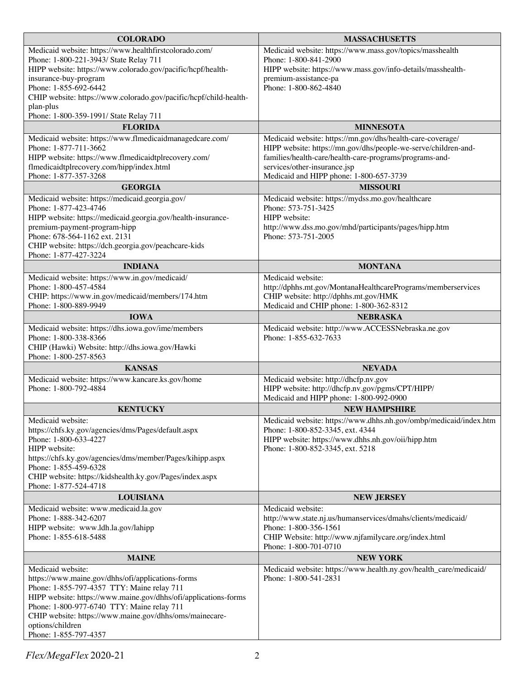| <b>COLORADO</b>                                                                              | <b>MASSACHUSETTS</b>                                                                   |  |
|----------------------------------------------------------------------------------------------|----------------------------------------------------------------------------------------|--|
| Medicaid website: https://www.healthfirstcolorado.com/                                       | Medicaid website: https://www.mass.gov/topics/masshealth                               |  |
| Phone: 1-800-221-3943/ State Relay 711                                                       | Phone: 1-800-841-2900                                                                  |  |
| HIPP website: https://www.colorado.gov/pacific/hcpf/health-                                  | HIPP website: https://www.mass.gov/info-details/masshealth-                            |  |
| insurance-buy-program                                                                        | premium-assistance-pa                                                                  |  |
| Phone: 1-855-692-6442                                                                        | Phone: 1-800-862-4840                                                                  |  |
| CHIP website: https://www.colorado.gov/pacific/hcpf/child-health-<br>plan-plus               |                                                                                        |  |
| Phone: 1-800-359-1991/ State Relay 711                                                       |                                                                                        |  |
| <b>FLORIDA</b>                                                                               | <b>MINNESOTA</b>                                                                       |  |
| Medicaid website: https://www.flmedicaidmanagedcare.com/                                     | Medicaid website: https://mn.gov/dhs/health-care-coverage/                             |  |
| Phone: 1-877-711-3662                                                                        | HIPP website: https://mn.gov/dhs/people-we-serve/children-and-                         |  |
| HIPP website: https://www.flmedicaidtplrecovery.com/                                         | families/health-care/health-care-programs/programs-and-                                |  |
| flmedicaidtplrecovery.com/hipp/index.html                                                    | services/other-insurance.jsp                                                           |  |
| Phone: 1-877-357-3268                                                                        | Medicaid and HIPP phone: 1-800-657-3739                                                |  |
| <b>GEORGIA</b>                                                                               | <b>MISSOURI</b>                                                                        |  |
| Medicaid website: https://medicaid.georgia.gov/                                              | Medicaid website: https://mydss.mo.gov/healthcare                                      |  |
| Phone: 1-877-423-4746                                                                        | Phone: 573-751-3425<br>HIPP website:                                                   |  |
| HIPP website: https://medicaid.georgia.gov/health-insurance-<br>premium-payment-program-hipp | http://www.dss.mo.gov/mhd/participants/pages/hipp.htm                                  |  |
| Phone: 678-564-1162 ext. 2131                                                                | Phone: 573-751-2005                                                                    |  |
| CHIP website: https://dch.georgia.gov/peachcare-kids                                         |                                                                                        |  |
| Phone: 1-877-427-3224                                                                        |                                                                                        |  |
| <b>INDIANA</b>                                                                               | <b>MONTANA</b>                                                                         |  |
| Medicaid website: https://www.in.gov/medicaid/                                               | Medicaid website:                                                                      |  |
| Phone: 1-800-457-4584                                                                        | http://dphhs.mt.gov/MontanaHealthcarePrograms/memberservices                           |  |
| CHIP: https://www.in.gov/medicaid/members/174.htm                                            | CHIP website: http://dphhs.mt.gov/HMK                                                  |  |
| Phone: 1-800-889-9949                                                                        | Medicaid and CHIP phone: 1-800-362-8312                                                |  |
| <b>IOWA</b>                                                                                  | <b>NEBRASKA</b>                                                                        |  |
| Medicaid website: https://dhs.iowa.gov/ime/members<br>Phone: 1-800-338-8366                  | Medicaid website: http://www.ACCESSNebraska.ne.gov<br>Phone: 1-855-632-7633            |  |
| CHIP (Hawki) Website: http://dhs.iowa.gov/Hawki                                              |                                                                                        |  |
| Phone: 1-800-257-8563                                                                        |                                                                                        |  |
| <b>KANSAS</b>                                                                                | <b>NEVADA</b>                                                                          |  |
| Medicaid website: https://www.kancare.ks.gov/home                                            | Medicaid website: http://dhcfp.nv.gov                                                  |  |
| Phone: 1-800-792-4884                                                                        | HIPP website: http://dhcfp.nv.gov/pgms/CPT/HIPP/                                       |  |
|                                                                                              | Medicaid and HIPP phone: 1-800-992-0900                                                |  |
| <b>KENTUCKY</b>                                                                              | <b>NEW HAMPSHIRE</b>                                                                   |  |
| Medicaid website:                                                                            | Medicaid website: https://www.dhhs.nh.gov/ombp/medicaid/index.htm                      |  |
| https://chfs.ky.gov/agencies/dms/Pages/default.aspx                                          | Phone: 1-800-852-3345, ext. 4344                                                       |  |
| Phone: 1-800-633-4227<br>HIPP website:                                                       | HIPP website: https://www.dhhs.nh.gov/oii/hipp.htm<br>Phone: 1-800-852-3345, ext. 5218 |  |
| https://chfs.ky.gov/agencies/dms/member/Pages/kihipp.aspx                                    |                                                                                        |  |
| Phone: 1-855-459-6328                                                                        |                                                                                        |  |
| CHIP website: https://kidshealth.ky.gov/Pages/index.aspx                                     |                                                                                        |  |
| Phone: 1-877-524-4718                                                                        |                                                                                        |  |
| <b>LOUISIANA</b>                                                                             | <b>NEW JERSEY</b>                                                                      |  |
| Medicaid website: www.medicaid.la.gov                                                        | Medicaid website:                                                                      |  |
| Phone: 1-888-342-6207<br>HIPP website: www.ldh.la.gov/lahipp                                 | http://www.state.nj.us/humanservices/dmahs/clients/medicaid/<br>Phone: 1-800-356-1561  |  |
| Phone: 1-855-618-5488                                                                        | CHIP Website: http://www.njfamilycare.org/index.html                                   |  |
|                                                                                              | Phone: 1-800-701-0710                                                                  |  |
| <b>MAINE</b>                                                                                 | <b>NEW YORK</b>                                                                        |  |
| Medicaid website:                                                                            | Medicaid website: https://www.health.ny.gov/health_care/medicaid/                      |  |
| https://www.maine.gov/dhhs/ofi/applications-forms                                            | Phone: 1-800-541-2831                                                                  |  |
| Phone: 1-855-797-4357 TTY: Maine relay 711                                                   |                                                                                        |  |
| HIPP website: https://www.maine.gov/dhhs/ofi/applications-forms                              |                                                                                        |  |
| Phone: 1-800-977-6740 TTY: Maine relay 711                                                   |                                                                                        |  |
|                                                                                              |                                                                                        |  |
| CHIP website: https://www.maine.gov/dhhs/oms/mainecare-<br>options/children                  |                                                                                        |  |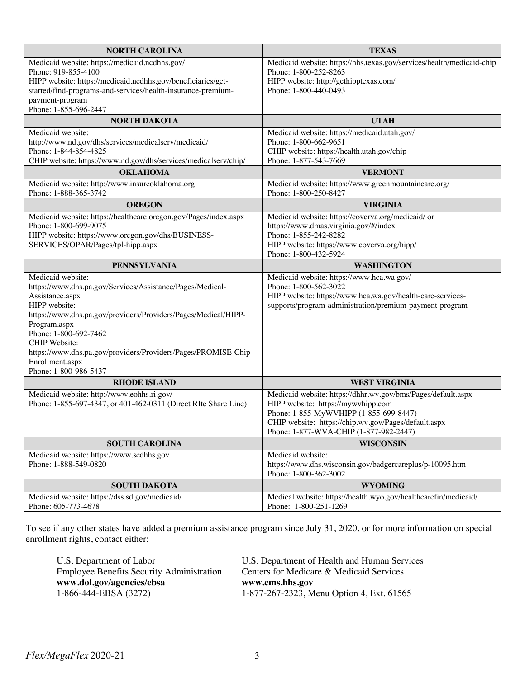| Medicaid website: https://medicaid.ncdhhs.gov/<br>Medicaid website: https://hhs.texas.gov/services/health/medicaid-chip<br>Phone: 919-855-4100<br>Phone: 1-800-252-8263<br>HIPP website: https://medicaid.ncdhhs.gov/beneficiaries/get-<br>HIPP website: http://gethipptexas.com/<br>started/find-programs-and-services/health-insurance-premium-<br>Phone: 1-800-440-0493<br>payment-program<br>Phone: 1-855-696-2447<br><b>NORTH DAKOTA</b><br><b>UTAH</b><br>Medicaid website: https://medicaid.utah.gov/<br>Medicaid website:<br>http://www.nd.gov/dhs/services/medicalserv/medicaid/<br>Phone: 1-800-662-9651<br>Phone: 1-844-854-4825<br>CHIP website: https://health.utah.gov/chip<br>Phone: 1-877-543-7669<br>CHIP website: https://www.nd.gov/dhs/services/medicalserv/chip/<br><b>OKLAHOMA</b><br><b>VERMONT</b><br>Medicaid website: http://www.insureoklahoma.org<br>Medicaid website: https://www.greenmountaincare.org/<br>Phone: 1-888-365-3742<br>Phone: 1-800-250-8427<br><b>OREGON</b><br><b>VIRGINIA</b><br>Medicaid website: https://coverva.org/medicaid/ or<br>Medicaid website: https://healthcare.oregon.gov/Pages/index.aspx<br>https://www.dmas.virginia.gov/#/index<br>Phone: 1-800-699-9075<br>Phone: 1-855-242-8282<br>HIPP website: https://www.oregon.gov/dhs/BUSINESS-<br>SERVICES/OPAR/Pages/tpl-hipp.aspx<br>HIPP website: https://www.coverva.org/hipp/<br>Phone: 1-800-432-5924<br><b>PENNSYLVANIA</b><br><b>WASHINGTON</b><br>Medicaid website:<br>Medicaid website: https://www.hca.wa.gov/<br>https://www.dhs.pa.gov/Services/Assistance/Pages/Medical-<br>Phone: 1-800-562-3022<br>HIPP website: https://www.hca.wa.gov/health-care-services-<br>Assistance.aspx<br>HIPP website:<br>supports/program-administration/premium-payment-program |
|--------------------------------------------------------------------------------------------------------------------------------------------------------------------------------------------------------------------------------------------------------------------------------------------------------------------------------------------------------------------------------------------------------------------------------------------------------------------------------------------------------------------------------------------------------------------------------------------------------------------------------------------------------------------------------------------------------------------------------------------------------------------------------------------------------------------------------------------------------------------------------------------------------------------------------------------------------------------------------------------------------------------------------------------------------------------------------------------------------------------------------------------------------------------------------------------------------------------------------------------------------------------------------------------------------------------------------------------------------------------------------------------------------------------------------------------------------------------------------------------------------------------------------------------------------------------------------------------------------------------------------------------------------------------------------------------------------------------------------------------------------------------------------------|
|                                                                                                                                                                                                                                                                                                                                                                                                                                                                                                                                                                                                                                                                                                                                                                                                                                                                                                                                                                                                                                                                                                                                                                                                                                                                                                                                                                                                                                                                                                                                                                                                                                                                                                                                                                                      |
|                                                                                                                                                                                                                                                                                                                                                                                                                                                                                                                                                                                                                                                                                                                                                                                                                                                                                                                                                                                                                                                                                                                                                                                                                                                                                                                                                                                                                                                                                                                                                                                                                                                                                                                                                                                      |
|                                                                                                                                                                                                                                                                                                                                                                                                                                                                                                                                                                                                                                                                                                                                                                                                                                                                                                                                                                                                                                                                                                                                                                                                                                                                                                                                                                                                                                                                                                                                                                                                                                                                                                                                                                                      |
|                                                                                                                                                                                                                                                                                                                                                                                                                                                                                                                                                                                                                                                                                                                                                                                                                                                                                                                                                                                                                                                                                                                                                                                                                                                                                                                                                                                                                                                                                                                                                                                                                                                                                                                                                                                      |
|                                                                                                                                                                                                                                                                                                                                                                                                                                                                                                                                                                                                                                                                                                                                                                                                                                                                                                                                                                                                                                                                                                                                                                                                                                                                                                                                                                                                                                                                                                                                                                                                                                                                                                                                                                                      |
|                                                                                                                                                                                                                                                                                                                                                                                                                                                                                                                                                                                                                                                                                                                                                                                                                                                                                                                                                                                                                                                                                                                                                                                                                                                                                                                                                                                                                                                                                                                                                                                                                                                                                                                                                                                      |
|                                                                                                                                                                                                                                                                                                                                                                                                                                                                                                                                                                                                                                                                                                                                                                                                                                                                                                                                                                                                                                                                                                                                                                                                                                                                                                                                                                                                                                                                                                                                                                                                                                                                                                                                                                                      |
|                                                                                                                                                                                                                                                                                                                                                                                                                                                                                                                                                                                                                                                                                                                                                                                                                                                                                                                                                                                                                                                                                                                                                                                                                                                                                                                                                                                                                                                                                                                                                                                                                                                                                                                                                                                      |
|                                                                                                                                                                                                                                                                                                                                                                                                                                                                                                                                                                                                                                                                                                                                                                                                                                                                                                                                                                                                                                                                                                                                                                                                                                                                                                                                                                                                                                                                                                                                                                                                                                                                                                                                                                                      |
|                                                                                                                                                                                                                                                                                                                                                                                                                                                                                                                                                                                                                                                                                                                                                                                                                                                                                                                                                                                                                                                                                                                                                                                                                                                                                                                                                                                                                                                                                                                                                                                                                                                                                                                                                                                      |
|                                                                                                                                                                                                                                                                                                                                                                                                                                                                                                                                                                                                                                                                                                                                                                                                                                                                                                                                                                                                                                                                                                                                                                                                                                                                                                                                                                                                                                                                                                                                                                                                                                                                                                                                                                                      |
|                                                                                                                                                                                                                                                                                                                                                                                                                                                                                                                                                                                                                                                                                                                                                                                                                                                                                                                                                                                                                                                                                                                                                                                                                                                                                                                                                                                                                                                                                                                                                                                                                                                                                                                                                                                      |
|                                                                                                                                                                                                                                                                                                                                                                                                                                                                                                                                                                                                                                                                                                                                                                                                                                                                                                                                                                                                                                                                                                                                                                                                                                                                                                                                                                                                                                                                                                                                                                                                                                                                                                                                                                                      |
|                                                                                                                                                                                                                                                                                                                                                                                                                                                                                                                                                                                                                                                                                                                                                                                                                                                                                                                                                                                                                                                                                                                                                                                                                                                                                                                                                                                                                                                                                                                                                                                                                                                                                                                                                                                      |
|                                                                                                                                                                                                                                                                                                                                                                                                                                                                                                                                                                                                                                                                                                                                                                                                                                                                                                                                                                                                                                                                                                                                                                                                                                                                                                                                                                                                                                                                                                                                                                                                                                                                                                                                                                                      |
|                                                                                                                                                                                                                                                                                                                                                                                                                                                                                                                                                                                                                                                                                                                                                                                                                                                                                                                                                                                                                                                                                                                                                                                                                                                                                                                                                                                                                                                                                                                                                                                                                                                                                                                                                                                      |
|                                                                                                                                                                                                                                                                                                                                                                                                                                                                                                                                                                                                                                                                                                                                                                                                                                                                                                                                                                                                                                                                                                                                                                                                                                                                                                                                                                                                                                                                                                                                                                                                                                                                                                                                                                                      |
|                                                                                                                                                                                                                                                                                                                                                                                                                                                                                                                                                                                                                                                                                                                                                                                                                                                                                                                                                                                                                                                                                                                                                                                                                                                                                                                                                                                                                                                                                                                                                                                                                                                                                                                                                                                      |
|                                                                                                                                                                                                                                                                                                                                                                                                                                                                                                                                                                                                                                                                                                                                                                                                                                                                                                                                                                                                                                                                                                                                                                                                                                                                                                                                                                                                                                                                                                                                                                                                                                                                                                                                                                                      |
|                                                                                                                                                                                                                                                                                                                                                                                                                                                                                                                                                                                                                                                                                                                                                                                                                                                                                                                                                                                                                                                                                                                                                                                                                                                                                                                                                                                                                                                                                                                                                                                                                                                                                                                                                                                      |
|                                                                                                                                                                                                                                                                                                                                                                                                                                                                                                                                                                                                                                                                                                                                                                                                                                                                                                                                                                                                                                                                                                                                                                                                                                                                                                                                                                                                                                                                                                                                                                                                                                                                                                                                                                                      |
|                                                                                                                                                                                                                                                                                                                                                                                                                                                                                                                                                                                                                                                                                                                                                                                                                                                                                                                                                                                                                                                                                                                                                                                                                                                                                                                                                                                                                                                                                                                                                                                                                                                                                                                                                                                      |
|                                                                                                                                                                                                                                                                                                                                                                                                                                                                                                                                                                                                                                                                                                                                                                                                                                                                                                                                                                                                                                                                                                                                                                                                                                                                                                                                                                                                                                                                                                                                                                                                                                                                                                                                                                                      |
| https://www.dhs.pa.gov/providers/Providers/Pages/Medical/HIPP-                                                                                                                                                                                                                                                                                                                                                                                                                                                                                                                                                                                                                                                                                                                                                                                                                                                                                                                                                                                                                                                                                                                                                                                                                                                                                                                                                                                                                                                                                                                                                                                                                                                                                                                       |
| Program.aspx                                                                                                                                                                                                                                                                                                                                                                                                                                                                                                                                                                                                                                                                                                                                                                                                                                                                                                                                                                                                                                                                                                                                                                                                                                                                                                                                                                                                                                                                                                                                                                                                                                                                                                                                                                         |
| Phone: 1-800-692-7462                                                                                                                                                                                                                                                                                                                                                                                                                                                                                                                                                                                                                                                                                                                                                                                                                                                                                                                                                                                                                                                                                                                                                                                                                                                                                                                                                                                                                                                                                                                                                                                                                                                                                                                                                                |
| <b>CHIP</b> Website:                                                                                                                                                                                                                                                                                                                                                                                                                                                                                                                                                                                                                                                                                                                                                                                                                                                                                                                                                                                                                                                                                                                                                                                                                                                                                                                                                                                                                                                                                                                                                                                                                                                                                                                                                                 |
| https://www.dhs.pa.gov/providers/Providers/Pages/PROMISE-Chip-                                                                                                                                                                                                                                                                                                                                                                                                                                                                                                                                                                                                                                                                                                                                                                                                                                                                                                                                                                                                                                                                                                                                                                                                                                                                                                                                                                                                                                                                                                                                                                                                                                                                                                                       |
| Enrollment.aspx                                                                                                                                                                                                                                                                                                                                                                                                                                                                                                                                                                                                                                                                                                                                                                                                                                                                                                                                                                                                                                                                                                                                                                                                                                                                                                                                                                                                                                                                                                                                                                                                                                                                                                                                                                      |
| Phone: 1-800-986-5437                                                                                                                                                                                                                                                                                                                                                                                                                                                                                                                                                                                                                                                                                                                                                                                                                                                                                                                                                                                                                                                                                                                                                                                                                                                                                                                                                                                                                                                                                                                                                                                                                                                                                                                                                                |
| <b>RHODE ISLAND</b><br><b>WEST VIRGINIA</b>                                                                                                                                                                                                                                                                                                                                                                                                                                                                                                                                                                                                                                                                                                                                                                                                                                                                                                                                                                                                                                                                                                                                                                                                                                                                                                                                                                                                                                                                                                                                                                                                                                                                                                                                          |
| Medicaid website: http://www.eohhs.ri.gov/<br>Medicaid website: https://dhhr.wv.gov/bms/Pages/default.aspx                                                                                                                                                                                                                                                                                                                                                                                                                                                                                                                                                                                                                                                                                                                                                                                                                                                                                                                                                                                                                                                                                                                                                                                                                                                                                                                                                                                                                                                                                                                                                                                                                                                                           |
| Phone: 1-855-697-4347, or 401-462-0311 (Direct RIte Share Line)<br>HIPP website: https://mywvhipp.com                                                                                                                                                                                                                                                                                                                                                                                                                                                                                                                                                                                                                                                                                                                                                                                                                                                                                                                                                                                                                                                                                                                                                                                                                                                                                                                                                                                                                                                                                                                                                                                                                                                                                |
| Phone: 1-855-MyWVHIPP (1-855-699-8447)                                                                                                                                                                                                                                                                                                                                                                                                                                                                                                                                                                                                                                                                                                                                                                                                                                                                                                                                                                                                                                                                                                                                                                                                                                                                                                                                                                                                                                                                                                                                                                                                                                                                                                                                               |
| CHIP website: https://chip.wv.gov/Pages/default.aspx                                                                                                                                                                                                                                                                                                                                                                                                                                                                                                                                                                                                                                                                                                                                                                                                                                                                                                                                                                                                                                                                                                                                                                                                                                                                                                                                                                                                                                                                                                                                                                                                                                                                                                                                 |
| Phone: 1-877-WVA-CHIP (1-877-982-2447)                                                                                                                                                                                                                                                                                                                                                                                                                                                                                                                                                                                                                                                                                                                                                                                                                                                                                                                                                                                                                                                                                                                                                                                                                                                                                                                                                                                                                                                                                                                                                                                                                                                                                                                                               |
| <b>WISCONSIN</b><br><b>SOUTH CAROLINA</b>                                                                                                                                                                                                                                                                                                                                                                                                                                                                                                                                                                                                                                                                                                                                                                                                                                                                                                                                                                                                                                                                                                                                                                                                                                                                                                                                                                                                                                                                                                                                                                                                                                                                                                                                            |
| Medicaid website: https://www.scdhhs.gov<br>Medicaid website:                                                                                                                                                                                                                                                                                                                                                                                                                                                                                                                                                                                                                                                                                                                                                                                                                                                                                                                                                                                                                                                                                                                                                                                                                                                                                                                                                                                                                                                                                                                                                                                                                                                                                                                        |
| https://www.dhs.wisconsin.gov/badgercareplus/p-10095.htm<br>Phone: 1-888-549-0820                                                                                                                                                                                                                                                                                                                                                                                                                                                                                                                                                                                                                                                                                                                                                                                                                                                                                                                                                                                                                                                                                                                                                                                                                                                                                                                                                                                                                                                                                                                                                                                                                                                                                                    |
| Phone: 1-800-362-3002<br><b>WYOMING</b><br><b>SOUTH DAKOTA</b>                                                                                                                                                                                                                                                                                                                                                                                                                                                                                                                                                                                                                                                                                                                                                                                                                                                                                                                                                                                                                                                                                                                                                                                                                                                                                                                                                                                                                                                                                                                                                                                                                                                                                                                       |
| Medicaid website: https://dss.sd.gov/medicaid/<br>Medical website: https://health.wyo.gov/healthcarefin/medicaid/                                                                                                                                                                                                                                                                                                                                                                                                                                                                                                                                                                                                                                                                                                                                                                                                                                                                                                                                                                                                                                                                                                                                                                                                                                                                                                                                                                                                                                                                                                                                                                                                                                                                    |
| Phone: 605-773-4678<br>Phone: 1-800-251-1269                                                                                                                                                                                                                                                                                                                                                                                                                                                                                                                                                                                                                                                                                                                                                                                                                                                                                                                                                                                                                                                                                                                                                                                                                                                                                                                                                                                                                                                                                                                                                                                                                                                                                                                                         |

To see if any other states have added a premium assistance program since July 31, 2020, or for more information on special enrollment rights, contact either:

| U.S. Department of Labor                         | U.S. Department of Health and Human Services |
|--------------------------------------------------|----------------------------------------------|
| <b>Employee Benefits Security Administration</b> | Centers for Medicare & Medicaid Services     |
| www.dol.gov/agencies/ebsa                        | www.cms.hhs.gov                              |
| 1-866-444-EBSA (3272)                            | 1-877-267-2323, Menu Option 4, Ext. 61565    |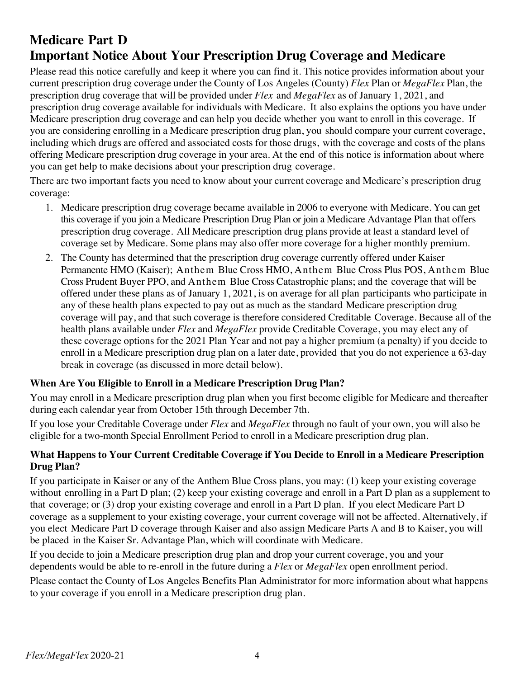# **Medicare Part D Important Notice About Your Prescription Drug Coverage and Medicare**

Please read this notice carefully and keep it where you can find it. This notice provides information about your current prescription drug coverage under the County of Los Angeles (County) *Flex* Plan or *MegaFlex* Plan, the prescription drug coverage that will be provided under *Flex* and *MegaFlex* as of January 1, 2021, and prescription drug coverage available for individuals with Medicare. It also explains the options you have under Medicare prescription drug coverage and can help you decide whether you want to enroll in this coverage. If you are considering enrolling in a Medicare prescription drug plan, you should compare your current coverage, including which drugs are offered and associated costs for those drugs, with the coverage and costs of the plans offering Medicare prescription drug coverage in your area. At the end of this notice is information about where you can get help to make decisions about your prescription drug coverage.

There are two important facts you need to know about your current coverage and Medicare's prescription drug coverage:

- 1. Medicare prescription drug coverage became available in 2006 to everyone with Medicare. You can get this coverage if you join a Medicare Prescription Drug Plan or join a Medicare Advantage Plan that offers prescription drug coverage. All Medicare prescription drug plans provide at least a standard level of coverage set by Medicare. Some plans may also offer more coverage for a higher monthly premium.
- 2. The County has determined that the prescription drug coverage currently offered under Kaiser Permanente HMO (Kaiser); Anthem Blue Cross HMO, Anthem Blue Cross Plus POS, Anthem Blue Cross Prudent Buyer PPO, and Anthem Blue Cross Catastrophic plans; and the coverage that will be offered under these plans as of January 1, 2021, is on average for all plan participants who participate in any of these health plans expected to pay out as much as the standard Medicare prescription drug coverage will pay, and that such coverage is therefore considered Creditable Coverage. Because all of the health plans available under *Flex* and *MegaFlex* provide Creditable Coverage, you may elect any of these coverage options for the 2021 Plan Year and not pay a higher premium (a penalty) if you decide to enroll in a Medicare prescription drug plan on a later date, provided that you do not experience a 63-day break in coverage (as discussed in more detail below).

## **When Are You Eligible to Enroll in a Medicare Prescription Drug Plan?**

You may enroll in a Medicare prescription drug plan when you first become eligible for Medicare and thereafter during each calendar year from October 15th through December 7th.

If you lose your Creditable Coverage under *Flex* and *MegaFlex* through no fault of your own, you will also be eligible for a two-month Special Enrollment Period to enroll in a Medicare prescription drug plan.

## **What Happens to Your Current Creditable Coverage if You Decide to Enroll in a Medicare Prescription Drug Plan?**

If you participate in Kaiser or any of the Anthem Blue Cross plans, you may: (1) keep your existing coverage without enrolling in a Part D plan; (2) keep your existing coverage and enroll in a Part D plan as a supplement to that coverage; or (3) drop your existing coverage and enroll in a Part D plan. If you elect Medicare Part D coverage as a supplement to your existing coverage, your current coverage will not be affected. Alternatively, if you elect Medicare Part D coverage through Kaiser and also assign Medicare Parts A and B to Kaiser, you will be placed in the Kaiser Sr. Advantage Plan, which will coordinate with Medicare.

If you decide to join a Medicare prescription drug plan and drop your current coverage, you and your dependents would be able to re-enroll in the future during a *Flex* or *MegaFlex* open enrollment period.

Please contact the County of Los Angeles Benefits Plan Administrator for more information about what happens to your coverage if you enroll in a Medicare prescription drug plan.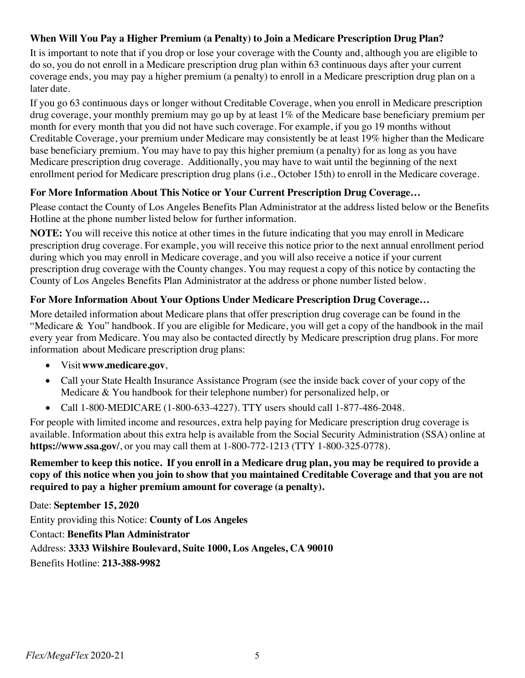## **When Will You Pay a Higher Premium (a Penalty) to Join a Medicare Prescription Drug Plan?**

It is important to note that if you drop or lose your coverage with the County and, although you are eligible to do so, you do not enroll in a Medicare prescription drug plan within 63 continuous days after your current coverage ends, you may pay a higher premium (a penalty) to enroll in a Medicare prescription drug plan on a later date.

If you go 63 continuous days or longer without Creditable Coverage, when you enroll in Medicare prescription drug coverage, your monthly premium may go up by at least 1% of the Medicare base beneficiary premium per month for every month that you did not have such coverage. For example, if you go 19 months without Creditable Coverage, your premium under Medicare may consistently be at least 19% higher than the Medicare base beneficiary premium. You may have to pay this higher premium (a penalty) for as long as you have Medicare prescription drug coverage. Additionally, you may have to wait until the beginning of the next enrollment period for Medicare prescription drug plans (i.e., October 15th) to enroll in the Medicare coverage.

#### **For More Information About This Notice or Your Current Prescription Drug Coverage…**

Please contact the County of Los Angeles Benefits Plan Administrator at the address listed below or the Benefits Hotline at the phone number listed below for further information.

**NOTE:** You will receive this notice at other times in the future indicating that you may enroll in Medicare prescription drug coverage. For example, you will receive this notice prior to the next annual enrollment period during which you may enroll in Medicare coverage, and you will also receive a notice if your current prescription drug coverage with the County changes. You may request a copy of this notice by contacting the County of Los Angeles Benefits Plan Administrator at the address or phone number listed below.

#### **For More Information About Your Options Under Medicare Prescription Drug Coverage…**

More detailed information about Medicare plans that offer prescription drug coverage can be found in the "Medicare & You" handbook. If you are eligible for Medicare, you will get a copy of the handbook in the mail every year from Medicare. You may also be contacted directly by Medicare prescription drug plans. For more information about Medicare prescription drug plans:

- Visit**www.medicare.gov**,
- Call your State Health Insurance Assistance Program (see the inside back cover of your copy of the Medicare & You handbook for their telephone number) for personalized help, or
- Call 1-800-MEDICARE (1-800-633-4227). TTY users should call 1-877-486-2048.

For people with limited income and resources, extra help paying for Medicare prescription drug coverage is available. Information about this extra help is available from the Social Security Administration (SSA) online at **https://www.ssa.gov/**, or you may call them at 1-800-772-1213 (TTY 1-800-325-0778).

#### Remember to keep this notice. If you enroll in a Medicare drug plan, you may be required to provide a copy of this notice when you join to show that you maintained Creditable Coverage and that you are not **required to pay a higher premium amount for coverage (a penalty).**

Date: **September 15, 2020** Entity providing this Notice: **County of Los Angeles** Contact: **Benefits Plan Administrator** Address: **3333 Wilshire Boulevard, Suite 1000, Los Angeles, CA 90010** Benefits Hotline: **213-388-9982**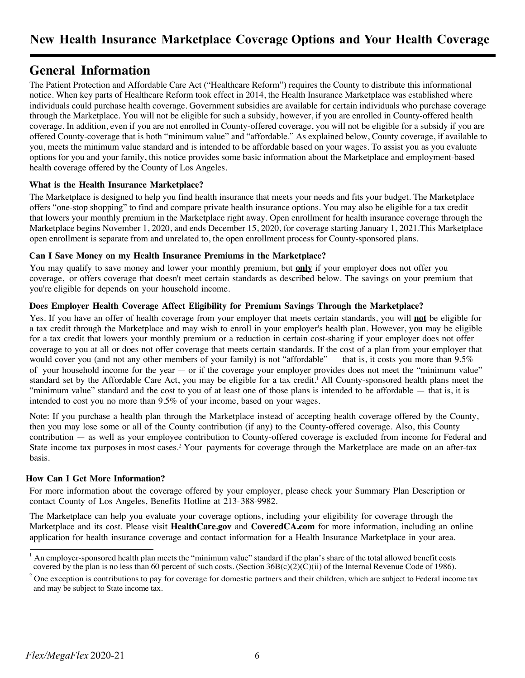## **General Information**

The Patient Protection and Affordable Care Act ("Healthcare Reform") requires the County to distribute this informational notice. When key parts of Healthcare Reform took effect in 2014, the Health Insurance Marketplace was established where individuals could purchase health coverage. Government subsidies are available for certain individuals who purchase coverage through the Marketplace. You will not be eligible for such a subsidy, however, if you are enrolled in County-offered health coverage. In addition, even if you are not enrolled in County-offered coverage, you will not be eligible for a subsidy if you are offered County-coverage that is both "minimum value" and "affordable." As explained below, County coverage, if available to you, meets the minimum value standard and is intended to be affordable based on your wages. To assist you as you evaluate options for you and your family, this notice provides some basic information about the Marketplace and employment-based health coverage offered by the County of Los Angeles.

#### **What is the Health Insurance Marketplace?**

The Marketplace is designed to help you find health insurance that meets your needs and fits your budget. The Marketplace offers "one-stop shopping" to find and compare private health insurance options. You may also be eligible for a tax credit that lowers your monthly premium in the Marketplace right away. Open enrollment for health insurance coverage through the Marketplace begins November 1, 2020, and ends December 15, 2020, for coverage starting January 1, 2021.This Marketplace open enrollment is separate from and unrelated to, the open enrollment process for County-sponsored plans.

#### **Can I Save Money on my Health Insurance Premiums in the Marketplace?**

You may qualify to save money and lower your monthly premium, but **only** if your employer does not offer you coverage, or offers coverage that doesn't meet certain standards as described below. The savings on your premium that you're eligible for depends on your household income.

#### **Does Employer Health Coverage Affect Eligibility for Premium Savings Through the Marketplace?**

Yes. If you have an offer of health coverage from your employer that meets certain standards, you will **not** be eligible for a tax credit through the Marketplace and may wish to enroll in your employer's health plan. However, you may be eligible for a tax credit that lowers your monthly premium or a reduction in certain cost-sharing if your employer does not offer coverage to you at all or does not offer coverage that meets certain standards. If the cost of a plan from your employer that would cover you (and not any other members of your family) is not "affordable" — that is, it costs you more than  $9.5\%$ of your household income for the year — or if the coverage your employer provides does not meet the "minimum value" standard set by the Affordable Care Act, you may be eligible for a tax credit. <sup>1</sup> All County-sponsored health plans meet the "minimum value" standard and the cost to you of at least one of those plans is intended to be affordable — that is, it is intended to cost you no more than 9.5% of your income, based on your wages.

Note: If you purchase a health plan through the Marketplace instead of accepting health coverage offered by the County, then you may lose some or all of the County contribution (if any) to the County-offered coverage. Also, this County contribution — as well as your employee contribution to County-offered coverage is excluded from income for Federal and State income tax purposes in most cases.2 Your payments for coverage through the Marketplace are made on an after-tax basis.

#### **How Can I Get More Information?**

For more information about the coverage offered by your employer, please check your Summary Plan Description or contact County of Los Angeles, Benefits Hotline at 213-388-9982.

The Marketplace can help you evaluate your coverage options, including your eligibility for coverage through the Marketplace and its cost. Please visit **HealthCare.gov** and **CoveredCA.com** for more information, including an online application for health insurance coverage and contact information for a Health Insurance Marketplace in your area.

<sup>1</sup> An employer-sponsored health plan meets the "minimum value" standard if the plan's share of the total allowed benefit costs covered by the plan is no less than 60 percent of such costs. (Section  $36B(c)(2)(\dot{C})(i)$  of the Internal Revenue Code of 1986).

<sup>2</sup> One exception is contributions to pay for coverage for domestic partners and their children, which are subject to Federal income tax and may be subject to State income tax.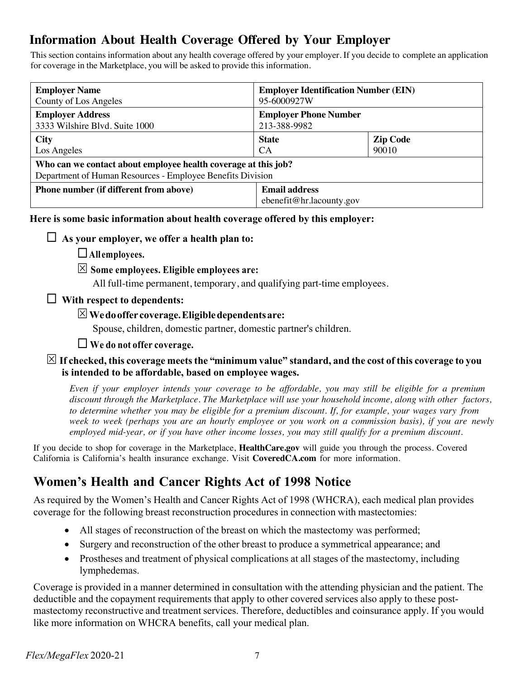# **Information About Health Coverage Offered by Your Employer**

This section contains information about any health coverage offered by your employer. If you decide to complete an application for coverage in the Marketplace, you will be asked to provide this information.

| <b>Employer Name</b>                                                                                                         | <b>Employer Identification Number (EIN)</b>      |                 |  |  |
|------------------------------------------------------------------------------------------------------------------------------|--------------------------------------------------|-----------------|--|--|
| County of Los Angeles                                                                                                        | 95-6000927W                                      |                 |  |  |
| <b>Employer Address</b>                                                                                                      | <b>Employer Phone Number</b>                     |                 |  |  |
| 3333 Wilshire Blvd. Suite 1000                                                                                               | 213-388-9982                                     |                 |  |  |
| <b>City</b>                                                                                                                  | <b>State</b>                                     | <b>Zip Code</b> |  |  |
| Los Angeles                                                                                                                  | <b>CA</b>                                        | 90010           |  |  |
| Who can we contact about employee health coverage at this job?<br>Department of Human Resources - Employee Benefits Division |                                                  |                 |  |  |
| <b>Phone number (if different from above)</b>                                                                                | <b>Email address</b><br>ebenefit@hr.lacounty.gov |                 |  |  |

**Here is some basic information about health coverage offered by this employer:**

## $\Box$  As your employer, we offer a health plan to:

¨**All employees.**

## S **Some employees. Eligible employees are:**

All full-time permanent, temporary, and qualifying part-time employees.

## ¨ **With respect to dependents:**

## S**Wedooffer coverage.Eligibledependentsare:**

Spouse, children, domestic partner, domestic partner's children.

### ¨ **We do not offer coverage.**

### $\boxtimes$  If checked, this coverage meets the "minimum value" standard, and the cost of this coverage to you **is intended to be affordable, based on employee wages.**

Even if your employer intends your coverage to be affordable, you may still be eligible for a premium *discount through the Marketplace. The Marketplace will use your household income, along with other factors,* to determine whether you may be eligible for a premium discount. If, for example, your wages vary from week to week (perhaps you are an hourly employee or you work on a commission basis), if you are newly *employed mid-year, or if you have other income losses, you may still qualify for a premium discount.*

If you decide to shop for coverage in the Marketplace, **HealthCare.gov** will guide you through the process. Covered California is California's health insurance exchange. Visit **CoveredCA.com** for more information.

# **Women's Health and Cancer Rights Act of 1998 Notice**

As required by the Women's Health and Cancer Rights Act of 1998 (WHCRA), each medical plan provides coverage for the following breast reconstruction procedures in connection with mastectomies:

- All stages of reconstruction of the breast on which the mastectomy was performed;
- Surgery and reconstruction of the other breast to produce a symmetrical appearance; and
- Prostheses and treatment of physical complications at all stages of the mastectomy, including lymphedemas.

Coverage is provided in a manner determined in consultation with the attending physician and the patient. The deductible and the copayment requirements that apply to other covered services also apply to these postmastectomy reconstructive and treatment services. Therefore, deductibles and coinsurance apply. If you would like more information on WHCRA benefits, call your medical plan.